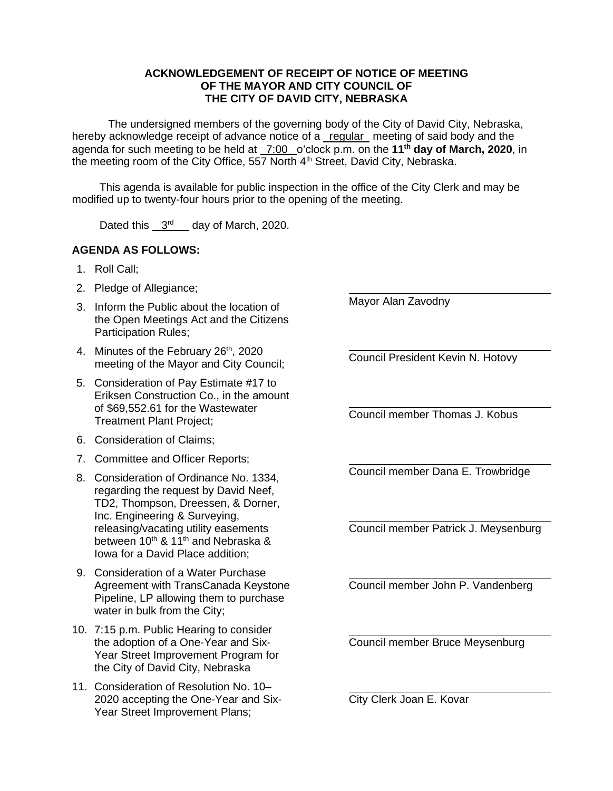## **ACKNOWLEDGEMENT OF RECEIPT OF NOTICE OF MEETING OF THE MAYOR AND CITY COUNCIL OF THE CITY OF DAVID CITY, NEBRASKA**

The undersigned members of the governing body of the City of David City, Nebraska, hereby acknowledge receipt of advance notice of a regular meeting of said body and the agenda for such meeting to be held at 7:00 o'clock p.m. on the **11th day of March, 2020**, in the meeting room of the City Office, 557 North 4<sup>th</sup> Street, David City, Nebraska.

This agenda is available for public inspection in the office of the City Clerk and may be modified up to twenty-four hours prior to the opening of the meeting.

Dated this 3<sup>rd</sup> day of March, 2020.

## **AGENDA AS FOLLOWS:**

- 1. Roll Call;
- 2. Pledge of Allegiance;
- 3. Inform the Public about the location of the Open Meetings Act and the Citizens Participation Rules;
- 4. Minutes of the February 26<sup>th</sup>, 2020 meeting of the Mayor and City Council;
- 5. Consideration of Pay Estimate #17 to Eriksen Construction Co., in the amount of \$69,552.61 for the Wastewater Treatment Plant Project;
- 6. Consideration of Claims;
- 7. Committee and Officer Reports;
- 8. Consideration of Ordinance No. 1334, regarding the request by David Neef, TD2, Thompson, Dreessen, & Dorner, Inc. Engineering & Surveying, releasing/vacating utility easements between 10<sup>th</sup> & 11<sup>th</sup> and Nebraska & Iowa for a David Place addition;
- 9. Consideration of a Water Purchase Agreement with TransCanada Keystone Pipeline, LP allowing them to purchase water in bulk from the City;
- 10. 7:15 p.m. Public Hearing to consider the adoption of a One-Year and Six-Year Street Improvement Program for the City of David City, Nebraska
- 11. Consideration of Resolution No. 10– 2020 accepting the One-Year and Six-Year Street Improvement Plans;

 $\overline{a}$ Mayor Alan Zavodny

 $\overline{a}$ Council President Kevin N. Hotovy

 $\overline{a}$ Council member Thomas J. Kobus

 $\overline{a}$ Council member Dana E. Trowbridge

 $\overline{a}$ Council member Patrick J. Meysenburg

Council member John P. Vandenberg

Council member Bruce Meysenburg

City Clerk Joan E. Kovar

 $\overline{a}$ 

 $\overline{a}$ 

 $\overline{a}$